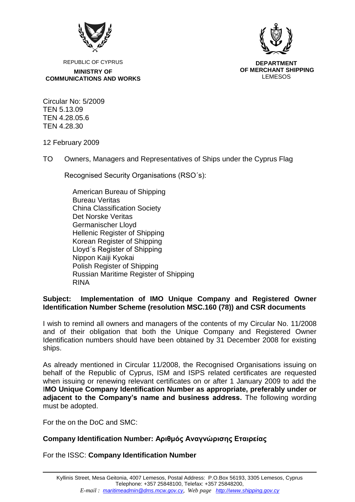

**DEPARTMENT OF MERCHANT SHIPPING** LEMESOS

REPUBLIC OF CYPRUS **MINISTRY OF COMMUNICATIONS AND WORKS**

Circular No: 5/2009 TEN 5.13.09 TEN 4.28.05.6 TEN 4.28.30

12 February 2009

TO Owners, Managers and Representatives of Ships under the Cyprus Flag

Recognised Security Organisations (RSO´s):

American Bureau of Shipping Bureau Veritas China Classification Society Det Norske Veritas [Germanischer Lloyd](http://www.gl-group.com/) Hellenic Register of Shipping Korean Register of Shipping Lloyd´s Register of Shipping Nippon Kaiji Kyokai Polish Register of Shipping Russian Maritime Register of Shipping RINA

## **Subject: Implementation of IMO Unique Company and Registered Owner Identification Number Scheme (resolution MSC.160 (78)) and CSR documents**

I wish to remind all owners and managers of the contents of my Circular No. 11/2008 and of their obligation that both the Unique Company and Registered Owner Identification numbers should have been obtained by 31 December 2008 for existing ships.

As already mentioned in Circular 11/2008, the Recognised Organisations issuing on behalf of the Republic of Cyprus, ISM and ISPS related certificates are requested when issuing or renewing relevant certificates on or after 1 January 2009 to add the I**MO Unique Company Identification Number as appropriate, preferably under or adjacent to the Company's name and business address.** The following wording must be adopted.

For the on the DoC and SMC:

## **Company Identification Number: Αριθμός Αναγνώρισης Εταιρείας**

For the ISSC: **Company Identification Number**